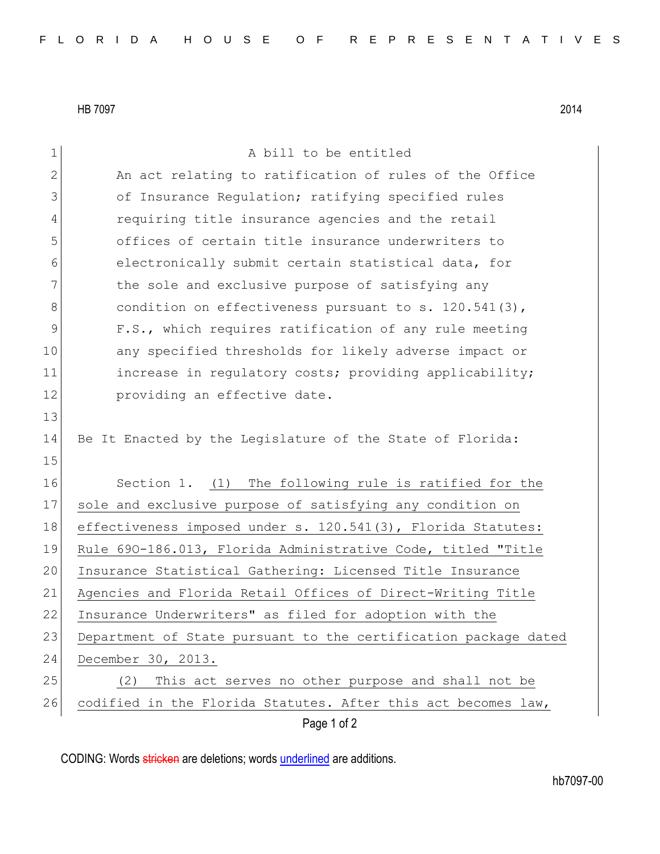HB 7097 2014

| $\mathbf 1$  | A bill to be entitled                                           |
|--------------|-----------------------------------------------------------------|
| $\mathbf{2}$ | An act relating to ratification of rules of the Office          |
| 3            | of Insurance Regulation; ratifying specified rules              |
| 4            | requiring title insurance agencies and the retail               |
| 5            | offices of certain title insurance underwriters to              |
| 6            | electronically submit certain statistical data, for             |
| 7            | the sole and exclusive purpose of satisfying any                |
| 8            | condition on effectiveness pursuant to s. $120.541(3)$ ,        |
| 9            | F.S., which requires ratification of any rule meeting           |
| 10           | any specified thresholds for likely adverse impact or           |
| 11           | increase in requlatory costs; providing applicability;          |
| 12           | providing an effective date.                                    |
| 13           |                                                                 |
| 14           | Be It Enacted by the Legislature of the State of Florida:       |
| 15           |                                                                 |
| 16           | Section 1. (1) The following rule is ratified for the           |
| 17           | sole and exclusive purpose of satisfying any condition on       |
| 18           | effectiveness imposed under s. 120.541(3), Florida Statutes:    |
| 19           | Rule 690-186.013, Florida Administrative Code, titled "Title    |
| 20           | Insurance Statistical Gathering: Licensed Title Insurance       |
| 21           | Agencies and Florida Retail Offices of Direct-Writing Title     |
| 22           | Insurance Underwriters" as filed for adoption with the          |
| 23           | Department of State pursuant to the certification package dated |
| 24           | December 30, 2013.                                              |
| 25           | This act serves no other purpose and shall not be<br>(2)        |
| 26           | codified in the Florida Statutes. After this act becomes law,   |
|              | Page 1 of 2                                                     |

CODING: Words stricken are deletions; words underlined are additions.